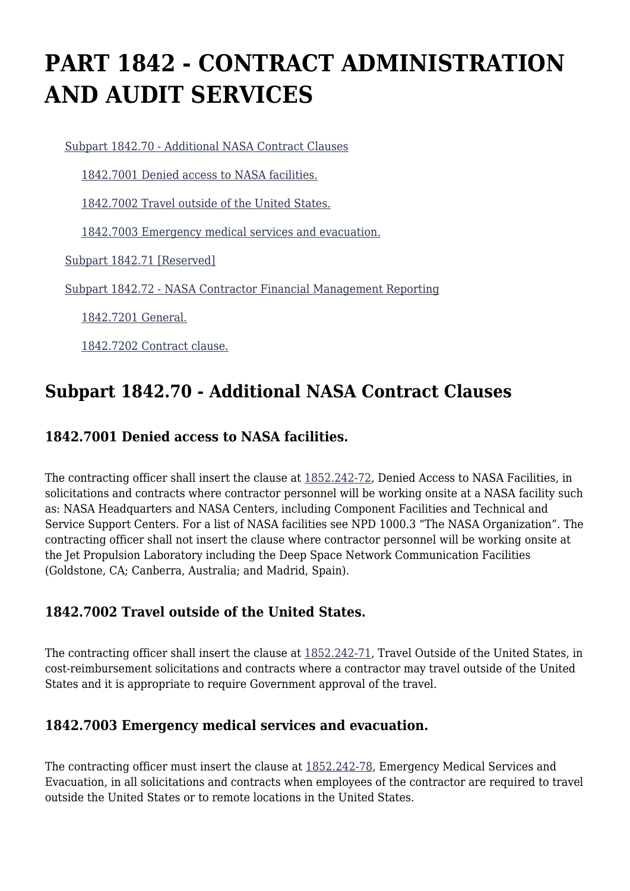# **PART 1842 - CONTRACT ADMINISTRATION AND AUDIT SERVICES**

[Subpart 1842.70 - Additional NASA Contract Clauses](https://login.acquisition.gov/%5Brp:link:nfs-part-1842%5D#Subpart_1842_70_T48_60422351)

[1842.7001 Denied access to NASA facilities.](https://login.acquisition.gov/%5Brp:link:nfs-part-1842%5D#Section_1842_7001_T48_6042235111)

[1842.7002 Travel outside of the United States.](https://login.acquisition.gov/%5Brp:link:nfs-part-1842%5D#Section_1842_7002_T48_6042235112)

[1842.7003 Emergency medical services and evacuation.](https://login.acquisition.gov/%5Brp:link:nfs-part-1842%5D#Section_1842_7003_T48_6042235113)

[Subpart 1842.71 \[Reserved\]](https://login.acquisition.gov/%5Brp:link:nfs-part-1842%5D#Subpart_1842_71_T48_60422352)

[Subpart 1842.72 - NASA Contractor Financial Management Reporting](https://login.acquisition.gov/%5Brp:link:nfs-part-1842%5D#Subpart_1842_72_T48_60422353)

[1842.7201 General.](https://login.acquisition.gov/%5Brp:link:nfs-part-1842%5D#Section_1842_7201_T48_6042235311)

[1842.7202 Contract clause.](https://login.acquisition.gov/%5Brp:link:nfs-part-1842%5D#Section_1842_7202_T48_6042235312)

### **Subpart 1842.70 - Additional NASA Contract Clauses**

#### **1842.7001 Denied access to NASA facilities.**

The contracting officer shall insert the clause at  $1852.242-72$ , Denied Access to NASA Facilities, in solicitations and contracts where contractor personnel will be working onsite at a NASA facility such as: NASA Headquarters and NASA Centers, including Component Facilities and Technical and Service Support Centers. For a list of NASA facilities see NPD 1000.3 "The NASA Organization". The contracting officer shall not insert the clause where contractor personnel will be working onsite at the Jet Propulsion Laboratory including the Deep Space Network Communication Facilities (Goldstone, CA; Canberra, Australia; and Madrid, Spain).

#### **1842.7002 Travel outside of the United States.**

The contracting officer shall insert the clause at [1852.242-71,](https://login.acquisition.gov/%5Brp:link:nfs-part-1852%5D#Section_1852_242_71_T48_604234411110) Travel Outside of the United States, in cost-reimbursement solicitations and contracts where a contractor may travel outside of the United States and it is appropriate to require Government approval of the travel.

#### **1842.7003 Emergency medical services and evacuation.**

The contracting officer must insert the clause at [1852.242-78](https://login.acquisition.gov/%5Brp:link:nfs-part-1852%5D#Section_1852_242_78_T48_604234411113), Emergency Medical Services and Evacuation, in all solicitations and contracts when employees of the contractor are required to travel outside the United States or to remote locations in the United States.